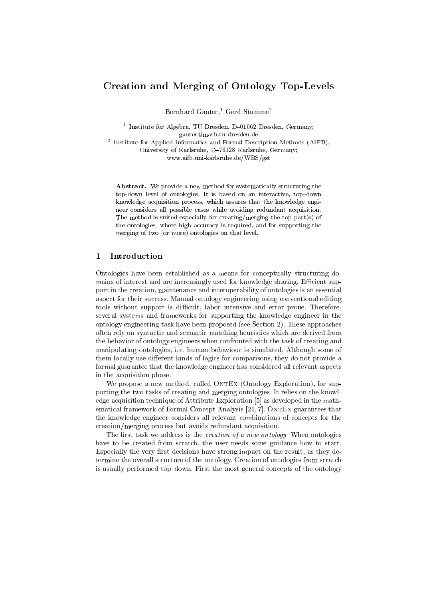# Creation and Merging of Ontology Top-Levels

Bernhard Ganter,<sup>1</sup> Gerd Stumme<sup>2</sup>

Thistitute for Algebra, TU Dresden, D-01062 Dresden, Germany; ganter@math.tu-dresden.de

<sup>2</sup> Institute for Applied Informatics and Formal Description Methods (AIFB), University of Karlsruhe, D-76128 Karlsruhe, Germany; www.aifb.uni-karlsruhe.de/WBS/gst

Abstract. We provide a new method for systematically structuring the top-down level of ontologies. It is based on an interactive, top-down knowledge acquisition process, which assures that the knowledge engi neer considers all possible cases while avoiding redundant acquisition. The method is suited especially for creating/merging the top part(s) of the ontologies, where high accuracy is required, and for supporting the merging of two (or more) ontologies on that level.

#### $\mathbf{1}$ **Introduction**

Ontologies have been established as a means for conceptually structuring domains of interest and are increasingly used for knowledge sharing. Efficient support in the creation, maintenance and interoperability of ontologies is an essential aspect for their success. Manual ontology engineering using conventional editing tools without support is difficult, labor intensive and error prone. Therefore, several systems and frameworks for supporting the knowledge engineer in the ontology engineering task have been proposed (see Section 2). These approaches often rely on syntactic and semantic matching heuristics which are derived from the behavior of ontology engineers when confronted with the task of creating and manipulating ontologies, i. e. human behaviour is simulated. Although some of them locally use different kinds of logics for comparisons, they do not provide a formal guarantee that the knowledge engineer has considered all relevant aspects in the acquisition phase.

We propose a new method, called  $\text{OntEx}$  (Ontology Exploration), for supporting the two tasks of creating and merging ontologies. It relies on the knowledge acquisition technique of Attribute Exploration [5] as developed in the mathematical framework of Formal Concept Analysis [21, 7]. ONTEX guarantees that the knowledge engineer considers all relevant combinations of concepts for the creation/merging process but avoids redundant acquisition.

The first task we address is the *creation of a new ontology*. When ontologies have to be created from scratch, the user needs some guidance how to start. Especially the very first decisions have strong impact on the result, as they determine the overall structure of the ontology. Creation of ontologies from scratch is usually performed top-down. First the most general concepts of the ontology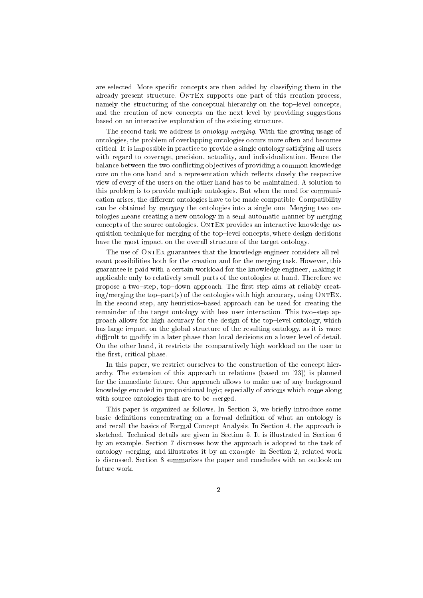are selected. More specific concepts are then added by classifying them in the already present structure. ONTEX supports one part of this creation process, namely the structuring of the conceptual hierarchy on the top-level concepts, and the creation of new concepts on the next level by providing suggestions based on an interactive exploration of the existing structure.

The second task we address is ontology merging. With the growing usage of ontologies, the problem of overlapping ontologies occurs more often and becomes critical. It is impossible in practice to provide a single ontology satisfying all users with regard to coverage, precision, actuality, and individualization. Hence the balance between the two conflicting objectives of providing a common knowledge core on the one hand and a representation which reflects closely the respective view of every of the users on the other hand has to be maintained. A solution to this problem is to provide multiple ontologies. But when the need for communication arises, the different ontologies have to be made compatible. Compatibility can be obtained by merging the ontologies into a single one. Merging two ontologies means creating a new ontology in a semi-automatic manner by merging concepts of the source ontologies. OntEx provides an interactive knowledge acquisition technique for merging of the top-level concepts, where design decisions have the most impact on the overall structure of the target ontology.

The use of ONTEX guarantees that the knowledge engineer considers all relevant possibilities both for the creation and for the merging task. However, this guarantee is paid with a certain workload for the knowledge engineer, making it applicable only to relatively small parts of the ontologies at hand. Therefore we propose a two-step, top-down approach. The first step aims at reliably creat $ing/m$ erging the top-part(s) of the ontologies with high accuracy, using ONTEX. In the second step, any heuristics-based approach can be used for creating the remainder of the target ontology with less user interaction. This two-step approach allows for high accuracy for the design of the top{level ontology, which has large impact on the global structure of the resulting ontology, as it is more difficult to modify in a later phase than local decisions on a lower level of detail. On the other hand, it restricts the comparatively high workload on the user to the first, critical phase.

In this paper, we restrict ourselves to the construction of the concept hierarchy. The extension of this approach to relations (based on [23]) is planned for the immediate future. Our approach allows to make use of any background knowledge encoded in propositional logic; especially of axioms which come along with source ontologies that are to be merged.

This paper is organized as follows. In Section 3, we briefly introduce some basic definitions concentrating on a formal definition of what an ontology is and recall the basics of Formal Concept Analysis. In Section 4, the approach is sketched. Technical details are given in Section 5. It is illustrated in Section 6 by an example. Section 7 discusses how the approach is adopted to the task of ontology merging, and illustrates it by an example. In Section 2, related work is discussed. Section 8 summarizes the paper and concludes with an outlook on future work.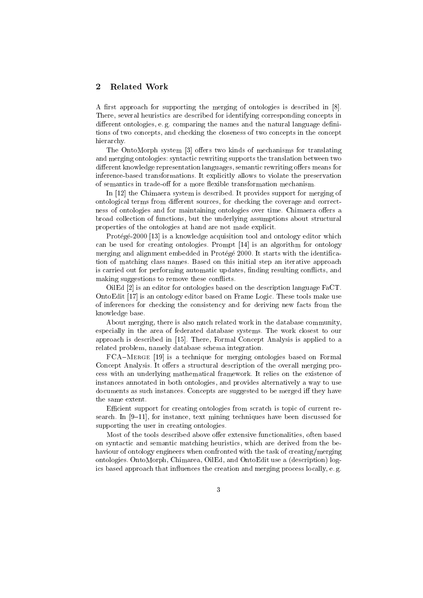## 2 Related Work

A first approach for supporting the merging of ontologies is described in  $[8]$ . There, several heuristics are described for identifying corresponding concepts in different ontologies, e.g. comparing the names and the natural language definitions of two concepts, and checking the closeness of two concepts in the concept hierarchy.

The OntoMorph system [3] offers two kinds of mechanisms for translating and merging ontologies: syntactic rewriting supports the translation between two different knowledge representation languages, semantic rewriting offers means for inference-based transformations. It explicitly allows to violate the preservation of semantics in trade-off for a more flexible transformation mechanism.

In [12] the Chimaera system is described. It provides support for merging of ontological terms from different sources, for checking the coverage and correctness of ontologies and for maintaining ontologies over time. Chimaera offers a broad collection of functions, but the underlying assumptions about structural properties of the ontologies at hand are not made explicit.

Protégé-2000 [13] is a knowledge acquisition tool and ontology editor which can be used for creating ontologies. Prompt [14] is an algorithm for ontology merging and alignment embedded in Protégé 2000. It starts with the identification of matching class names. Based on this initial step an iterative approach is carried out for performing automatic updates, nding resulting con
icts, and making suggestions to remove these con
icts.

OilEd [2] is an editor for ontologies based on the description language FaCT. OntoEdit [17] is an ontology editor based on Frame Logic. These tools make use of inferences for checking the consistency and for deriving new facts from the knowledge base.

About merging, there is also much related work in the database community, especially in the area of federated database systems. The work closest to our approach is described in [15]. There, Formal Concept Analysis is applied to a related problem, namely database schema integration.

FCA–MERGE [19] is a technique for merging ontologies based on Formal Concept Analysis. It offers a structural description of the overall merging process with an underlying mathematical framework. It relies on the existence of instances annotated in both ontologies, and provides alternatively a way to use documents as such instances. Concepts are suggested to be merged iff they have the same extent.

Efficient support for creating ontologies from scratch is topic of current research. In  $[9-11]$ , for instance, text mining techniques have been discussed for supporting the user in creating ontologies.

Most of the tools described above offer extensive functionalities, often based on syntactic and semantic matching heuristics, which are derived from the behaviour of ontology engineers when confronted with the task of creating/merging ontologies. OntoMorph, Chimarea, OilEd, and OntoEdit use a (description) logics based approach that in
uences the creation and merging process locally, e. g.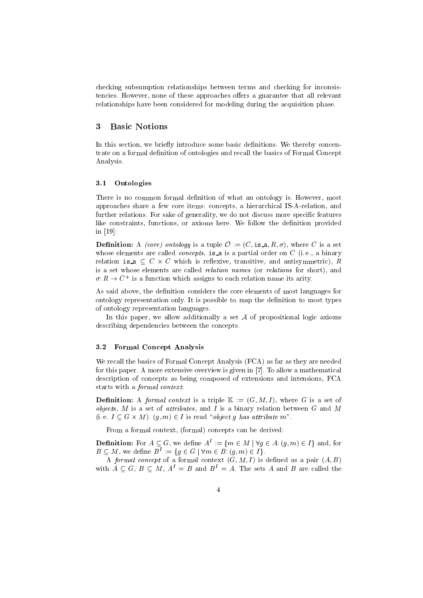checking subsumption relationships between terms and checking for inconsistencies. However, none of these approaches offers a guarantee that all relevant relationships have been considered for modeling during the acquisition phase.

#### 3 **Basic Notions**

In this section, we briefly introduce some basic definitions. We thereby concentrate on a formal definition of ontologies and recall the basics of Formal Concept Analysis.

### 3.1 Ontologies

There is no common formal definition of what an ontology is. However, most approaches share a few core items: concepts, a hierarchical IS-A-relation, and further relations. For sake of generality, we do not discuss more specific features like constraints, functions, or axioms here. We follow the definition provided in [19]:

**Definition:** A *(core)* ontology is a tuple  $\mathcal{O} := (C, \mathbf{is,a}, R, \sigma)$ , where C is a set whose elements are called *concepts*, is a partial order on  $C$  (i.e., a binary relation is a C - C - C which is a continued to construct it which is an interesting of the control of the co is a set whose elements are called relation names (or relations for short), and  $\sigma: \mathbb{R} \to \mathbb{C}$  is a function which assigns to each relation name its arity.

As said above, the definition considers the core elements of most languages for ontology representation only. It is possible to map the denition to most types of ontology representation languages.

In this paper, we allow additionally a set  $A$  of propositional logic axioms describing dependencies between the concepts.

#### 3.2 Formal Concept Analysis

We recall the basics of Formal Concept Analysis (FCA) as far as they are needed for this paper. A more extensive overview is given in [7]. To allow a mathematical description of concepts as being composed of extensions and intensions, FCA starts with a formal context:

**Definition:** A formal context is a triple  $\mathbb{K} := (G, M, I)$ , where G is a set of objects, M is a set of attributes, and I is a binary relation between  $G$  and M (i.e. i. ). The set of  $\{a,b,c\}$  is the set of  $\{a,b,c\}$  is read to the mass at the set of  $\{a,b,c\}$ 

From a formal context, (formal) concepts can be derived:

**Definition:** For  $A \subseteq G$ , we define  $A^* := \{m \in M \mid \forall q \in A: (q, m) \in I\}$  and, for  $B \subseteq M$ , we define  $B^{\perp} := \{ g \in G \mid \forall m \in B : (g, m) \in I \}$ .

A formal concept of a formal context  $(G, M, I)$  is defined as a pair  $(A, B)$ with  $A \subseteq G$ ,  $B \subseteq M$ ,  $A^I = B$  and  $B^I = A$ . The sets A and B are called the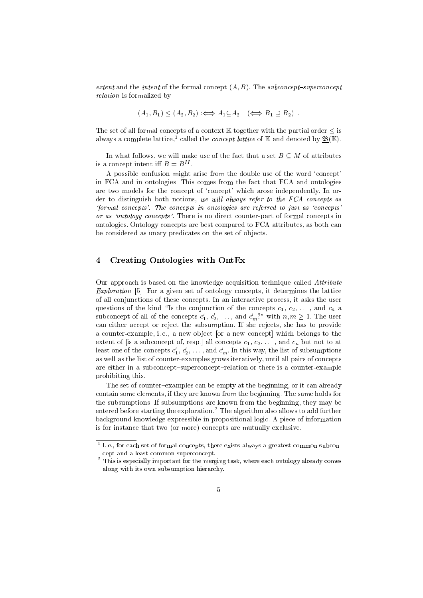extent and the intent of the formal concept  $(A, B)$ . The subconcept-superconcept relation is formalized by

$$
(A_1, B_1) \le (A_2, B_2) :\iff A_1 \subseteq A_2 \quad (\iff B_1 \supseteq B_2) .
$$

The set of all formal concepts of a context K together with the partial order  $\leq$  is always a complete lattice,<sup>1</sup> called the *concept lattice* of K and denoted by  $\mathfrak{B}(\mathbb{K})$ .

In what follows, we will make use of the fact that a set  $B \subseteq M$  of attributes is a concept intent iff  $B = B^{II}$ .

A possible confusion might arise from the double use of the word `concept' in FCA and in ontologies. This comes from the fact that FCA and ontologies are two models for the concept of 'concept' which arose independently. In order to distinguish both notions, we will always refer to the  $FCA$  concepts as `formal concepts'. The concepts in ontologies are referred to just as `concepts' or as 'ontology concepts'. There is no direct counter-part of formal concepts in ontologies. Ontology concepts are best compared to FCA attributes, as both can be considered as unary predicates on the set of ob jects.

## 4 Creating Ontologies with OntEx

Our approach is based on the knowledge acquisition technique called Attribute Exploration [5]. For a given set of ontology concepts, it determines the lattice of all conjunctions of these concepts. In an interactive process, it asks the user questions of the kind "Is the conjunction of the concepts  $c_1, c_2, \ldots$ , and  $c_n$  a subconcept of an of the concepts  $c_1, c_2, \ldots$ , and  $c_m$ . With  $n, m \geq 1$ . The user can either accept or reject the subsumption. If she rejects, she has to provide a counter-example, i. e., a new ob ject [or a new concept] which belongs to the extent of [is a subconcept of, resp.] all concepts  $c_1, c_2, \ldots$ , and  $c_n$  but not to at least one of the concepts  $c_1, c_2, \ldots,$  and  $c_m.$  In this way, the list of subsumptions as well as the list of counter-examples grows iteratively, until all pairs of concepts are either in a subconcept-superconcept-relation or there is a counter-example prohibiting this.

The set of counter-examples can be empty at the beginning, or it can already contain some elements, if they are known from the beginning. The same holds for the subsumptions. If subsumptions are known from the beginning, they may be entered before starting the exploration.2 The algorithm also allows to add further background knowledge expressible in propositional logic. A piece of information is for instance that two (or more) concepts are mutually exclusive.

the, for each set of formal concepts, there exists always a greatest common subconcept and a least common superconcept.

<sup>2</sup> This is especially important for the merging task, where each ontology already comes along with its own subsumption hierarchy.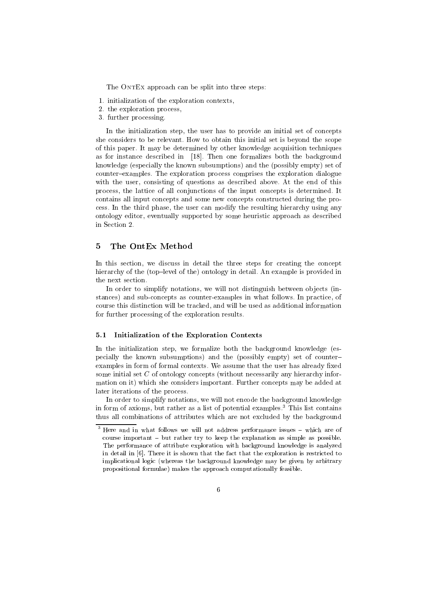The ONTEX approach can be split into three steps:

- 1. initialization of the exploration contexts,
- 2. the exploration process,
- 3. further processing.

In the initialization step, the user has to provide an initial set of concepts she considers to be relevant. How to obtain this initial set is beyond the scope of this paper. It may be determined by other knowledge acquisition techniques as for instance described in [18]. Then one formalizes both the background knowledge (especially the known subsumptions) and the (possibly empty) set of counter-examples. The exploration process comprises the exploration dialogue with the user, consisting of questions as described above. At the end of this process, the lattice of all conjunctions of the input concepts is determined. It contains all input concepts and some new concepts constructed during the process. In the third phase, the user can modify the resulting hierarchy using any ontology editor, eventually supported by some heuristic approach as described in Section 2.

## $\overline{5}$

In this section, we discuss in detail the three steps for creating the concept hierarchy of the (top-level of the) ontology in detail. An example is provided in the next section.

In order to simplify notations, we will not distinguish between objects (instances) and sub-concepts as counter-examples in what follows. In practice, of course this distinction will be tracked, and will be used as additional information for further processing of the exploration results.

### 5.1 Initialization of the Exploration Contexts

In the initialization step, we formalize both the background knowledge (especially the known subsumptions) and the (possibly empty) set of counter{ examples in form of formal contexts. We assume that the user has already fixed some initial set  $C$  of ontology concepts (without necessarily any hierarchy information on it) which she considers important. Further concepts may be added at later iterations of the process.

In order to simplify notations, we will not encode the background knowledge in form of axioms, but rather as a list of potential examples.3 This list contains thus all combinations of attributes which are not excluded by the background

<sup>3</sup> Here and in what follows we will not address performance issues { which are of course important  $-$  but rather try to keep the explanation as simple as possible. The performance of attribute exploration with background knowledge is analyzed in detail in [6]. There it is shown that the fact that the exploration is restricted to implicational logic (whereas the background knowledge may be given by arbitrary propositional formulae) makes the approach computationally feasible.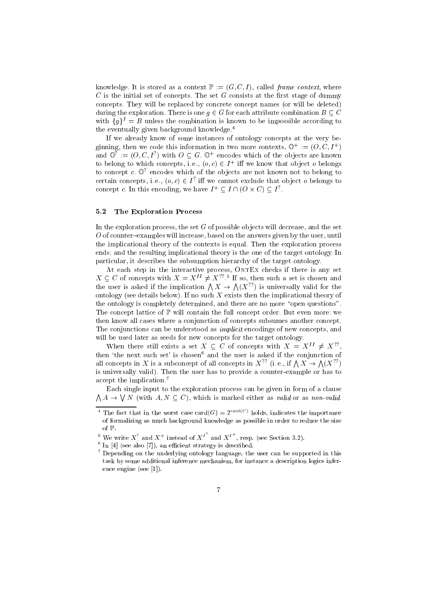knowledge. It is stored as a context  $\mathbb{P} := (G, C, I)$ , called frame context, where  $C$  is the initial set of concepts. The set  $G$  consists at the first stage of dummy concepts. They will be replaced by concrete concept names (or will be deleted) during the exploration. There is one  $g \in G$  for each attribute combination  $B \subseteq C$ with  ${q}^I = B$  unless the combination is known to be impossible according to the eventually given background knowledge.<sup>4</sup>

If we already know of some instances of ontology concepts at the very beginning, then we code this information in two more contexts,  $\mathbb{U}^- := (\mathcal{O}, \mathcal{O}, I^-)$ and  $\mathbb{U}^* := (\mathcal{O}, \mathcal{O}, I^*)$  with  $\mathcal{O} \subseteq \mathcal{G}$ .  $\mathbb{U}^*$  encodes which of the objects are known to belong to which concepts, i.e.,  $(o, c) \in T$  in we know that object  $o$  belongs to concept c.  $\mathbb{O}^2$  encodes which of the objects are not known not to belong to certain concepts, i.e.,  $(o, c) \in T$  in we cannot exclude that object  $o$  belongs to concept c. In this encoding, we have  $I \subseteq I \sqcup \{O \times O\} \subseteq I$ .

### 5.2 The Exploration Process

In the exploration process, the set  $G$  of possible objects will decrease, and the set  $O$  of counter-examples will increase, based on the answers given by the user, until the implicational theory of the contexts is equal. Then the exploration process ends; and the resulting implicational theory is the one of the target ontology. In particular, it describes the subsumption hierarchy of the target ontology.

At each step in the interactive process, ONTEX checks if there is any set  $X \subseteq U$  of concepts with  $X = X^H \neq X^{\perp}$ . If so, then such a set is chosen and the user is asked if the implication  $\bigwedge X \to \bigwedge (X^{27})$  is universally valid for the ontology (see details below). If no such  $X$  exists then the implicational theory of the ontology is completely determined, and there are no more "open questions". The concept lattice of  $\mathbb P$  will contain the full concept order. But even more: we then know all cases where a conjunction of concepts subsumes another concept. The conjunctions can be understood as *implicit* encodings of new concepts, and will be used later as seeds for new concepts for the target ontology.

When there still exists a set  $X \subseteq C$  of concepts with  $X = X^{II} \neq X^{??}$ , then 'the next such set' is chosen<sup>6</sup> and the user is asked if the conjunction of all concepts in X is a subconcept of all concepts in  $X^{\gamma\gamma}$  (i.e., if  $\bigwedge X \to \bigwedge (X^{\gamma\gamma})$ is universally valid). Then the user has to provide a counter-example or has to accept the implication.<sup>7</sup>

Each single input to the exploration process can be given in form of a clause  $\bigwedge A \to \bigvee N$  (with  $A, N \subseteq C$ ), which is marked either as valid or as non-valid.

The fact that in the worst case  $\text{card}(G)=2$ card(C) holds, indicates the importance of formalizing as much background knowledge as possible in order to reduce the size of P.

<sup>&</sup>lt;sup>3</sup> We write  $X^{\ell}$  and  $X^{+}$  instead of  $X^{I}$  and  $X^{I}$ , resp. (see Section 3.2).

f In [4] (see also [7]), an emcient strategy is described.

<sup>7</sup> Depending on the underlying ontology language, the user can be supported in this task by some additional inference mechanism, for instance a description logics inference engine (see [1]).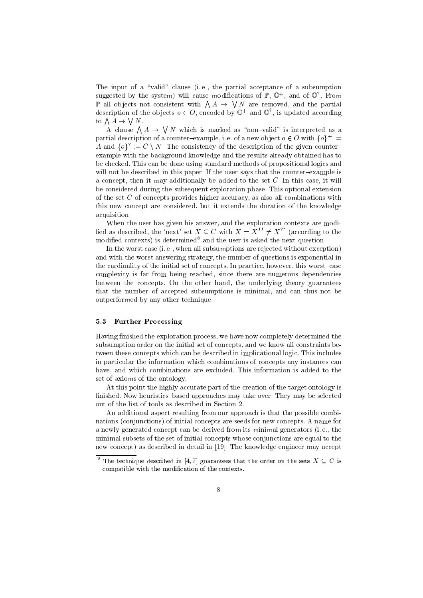The input of a "valid" clause (i.e., the partial acceptance of a subsumption suggested by the system) will cause modifications of  $\mathbb{F}, \ \mathbb{U}$ , and of  $\mathbb{U}$  , from  $\mathbb P$  all objects not consistent with  $\bigwedge A \to \bigvee N$  are removed, and the partial description of the objects  $o \in \overline{O}$ , encoded by  $\mathbb U^+$  and  $\mathbb U^+$ , is updated according to  $\Lambda A \to \Lambda N$ .

A clause  $\bigwedge A \to \bigvee N$  which is marked as "non-valid" is interpreted as a partial description of a counter-example, i.e. of a new object  $o \in \overline{O}$  with  $\{o\}^+ :=$ A and  $\{0\}$  :  $=$  C  $\setminus$  IV. The consistency of the description of the given counter  $=$ example with the background knowledge and the results already obtained has to be checked. This can be done using standard methods of propositional logics and will not be described in this paper. If the user says that the counter-example is a concept, then it may additionally be added to the set  $C$ . In this case, it will be considered during the subsequent exploration phase. This optional extension of the set  $C$  of concepts provides higher accuracy, as also all combinations with this new concept are considered, but it extends the duration of the knowledge acquisition.

When the user has given his answer, and the exploration contexts are modi fied as described, the 'next' set  $X \subseteq C$  with  $X = X^{II} \neq X^{??}$  (according to the modified contexts) is determined<sup>8</sup> and the user is asked the next question.

In the worst case (i. e., when all subsumptions are rejected without exception) and with the worst answering strategy, the number of questions is exponential in the cardinality of the initial set of concepts. In practice, however, this worst-case complexity is far from being reached, since there are numerous dependencies between the concepts. On the other hand, the underlying theory guarantees that the number of accepted subsumptions is minimal, and can thus not be outperformed by any other technique.

## 5.3 Further Processing

Having finished the exploration process, we have now completely determined the subsumption order on the initial set of concepts, and we know all constraints between these concepts which can be described in implicational logic. This includes in particular the information which combinations of concepts any instances can have, and which combinations are excluded. This information is added to the set of axioms of the ontology.

At this point the highly accurate part of the creation of the target ontology is finished. Now heuristics-based approaches may take over. They may be selected out of the list of tools as described in Section 2.

An additional aspect resulting from our approach is that the possible combinations (conjunctions) of initial concepts are seeds for new concepts. A name for a newly generated concept can be derived from its minimal generators (i. e., the minimal subsets of the set of initial concepts whose conjunctions are equal to the new concept) as described in detail in [19]. The knowledge engineer may accept

The technique described in [4, 7] guarantees that the order on the sets  $X \subseteq U$  is compatible with the modication of the contexts.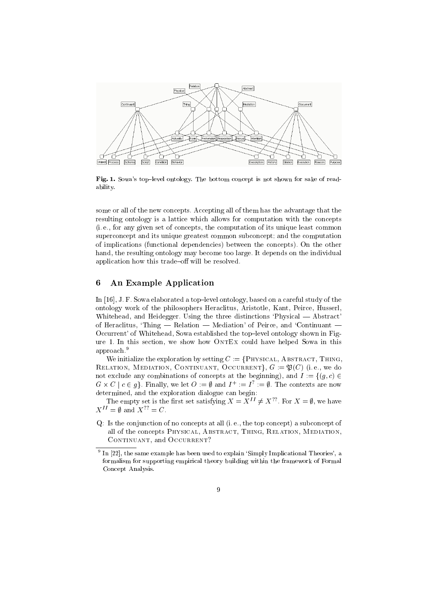

Fig. 1. Sowa's top-level ontology. The bottom concept is not shown for sake of readability.

some or all of the new concepts. Accepting all of them has the advantage that the resulting ontology is a lattice which allows for computation with the concepts (i. e., for any given set of concepts, the computation of its unique least common superconcept and its unique greatest common subconcept; and the computation of implications (functional dependencies) between the concepts). On the other hand, the resulting ontology may become too large. It depends on the individual application how this trade-off will be resolved.

## 6 An Example Application

In [16], J. F. Sowa elaborated a top-level ontology, based on a careful study of the ontology work of the philosophers Heraclitus, Aristotle, Kant, Peirce, Husserl, Whitehead, and Heidegger. Using the three distinctions  $Physical - Abstract'$ of Heraclitus,  $\text{'Thing} \longrightarrow \text{Relation} \longrightarrow \text{Median'}$  of Peirce, and  $\text{'Continuant} \longrightarrow$ Occurrent' of Whitehead, Sowa established the top{level ontology shown in Figure 1.In this section, we show how OntEx could have helped Sowa in this approach.<sup>9</sup>

We initialize the exploration by setting  $C := \{PHYSICAL, ABSTRACT, THING,$ RELATION, MEDIATION, CONTINUANT, OCCURRENT},  $G := \mathfrak{P}(C)$  (i.e., we do not exclude any combinations of concepts at the beginning), and  $I := \{(g, c) \in$ G  $\times$  C  $\vert$  c  $\in$   $q$ }. Finally, we let  $O := \emptyset$  and  $I_{-} := I_{+} := \emptyset$ . The contexts are now determined, and the exploration dialogue can begin:

The empty set is the first set satisfying  $X = \overline{X}^{II} \neq X^{?}$ . For  $X = \emptyset$ , we have  $X^{II} = \emptyset$  and  $X^{??} = C$ .

Q: Is the conjunction of no concepts at all (i. e., the top concept) a subconcept of all of the concepts PHYSICAL, ABSTRACT, THING, RELATION, MEDIATION, CONTINUANT, and OCCURRENT?

<sup>&</sup>lt;sup>9</sup> In [22], the same example has been used to explain 'Simply Implicational Theories', a formalism for supporting empirical theory building within the framework of Formal Concept Analysis.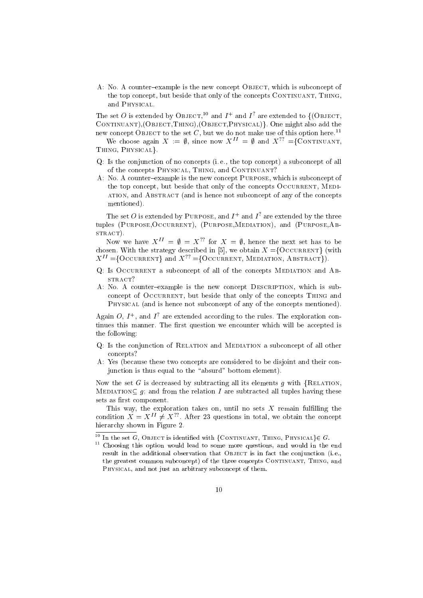A: No. A counter-example is the new concept OBJECT, which is subconcept of the top concept, but beside that only of the concepts CONTINUANT, THING, and Physical.

The set O is extended by Object,  $\frac{1}{2}$  and I and I are extended to  $\frac{1}{2}$  (Object, CONTINUANT), (OBJECT, THING), (OBJECT, PHYSICAL) }. One might also add the new concept OBJECT to the set C, but we do not make use of this option here.<sup>11</sup>

We choose again  $X := \emptyset$ , since now  $X^{II} = \emptyset$  and  $X^{??} = \{CONTINUANT, Y^{T} \}$ Thing, Physical.

- Q: Is the conjunction of no concepts (i. e., the top concept) a subconcept of all of the concepts PHYSICAL, THING, and CONTINUANT?
- A: No. A counter-example is the new concept PURPOSE, which is subconcept of the top concept, but beside that only of the concepts OCCURRENT, MEDIation, and Abstract (and is hence not subconcept of any of the concepts mentioned).

I he set O is extended by PURPOSE, and I and I are extended by the three tuples (PURPOSE, OCCURRENT), (PURPOSE, MEDIATION), and (PURPOSE, AB- $STRACT$  $s = -1$ .

Now we have  $X^{II} = \emptyset = X^{??}$  for  $X = \emptyset$ , hence the next set has to be chosen. With the strategy described in [5], we obtain  $X = \{OCCURRENT\}$  (with  $X^{II} = \{$ OCCURRENT} and  $X^{??} = \{$ OCCURRENT, MEDIATION, ABSTRACT}).

- $Q:$  Is OCCURRENT a subconcept of all of the concepts MEDIATION and ABstract?
- A: No. A counter-example is the new concept DESCRIPTION, which is subconcept of OCCURRENT, but beside that only of the concepts THING and PHYSICAL (and is hence not subconcept of any of the concepts mentioned).

 $\rm Again \ \rm O, \ \rm I_{\odot}$  , and T are extended according to the rules. The exploration continues this manner. The first question we encounter which will be accepted is the following:

- Q: Is the conjunction of RELATION and MEDIATION a subconcept of all other concepts?
- A: Yes (because these two concepts are considered to be disjoint and their conjunction is thus equal to the "absurd" bottom element).

Now the set  $G$  is decreased by subtracting all its elements  $g$  with {RELATION, MEDIATION  $\subseteq$  g; and from the relation I are subtracted all tuples having these sets as first component.

This way, the exploration takes on, until no sets  $X$  remain fulfilling the condition  $X = X^{II} \neq X^{?}$ . After 23 questions in total, we obtain the concept hierarchy shown in Figure 2.

 $\lceil \cdot \rceil$  in the set G, OBJECT is identified with {CONTINUANT, THING, PHYSICAL} $\in G$ .

 $^\circ$  Choosing this option would lead to some more questions, and would in the end  $^\circ$ result in the additional observation that OBJECT is in fact the conjunction (i.e., the greatest common subconcept) of the three concepts CONTINUANT, THING, and Physical, and not just an arbitrary subconcept of them.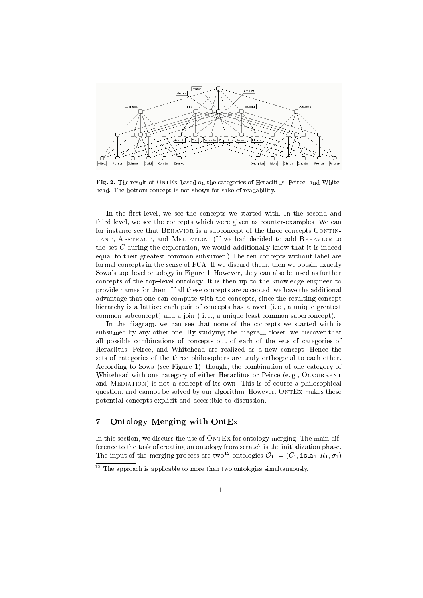

Fig. 2. The result of OntEx based on the categories of Heraclitus, Peirce, and Whitehead. The bottom concept is not shown for sake of readability.

In the first level, we see the concepts we started with. In the second and third level, we see the concepts which were given as counter-examples. We can for instance see that BEHAVIOR is a subconcept of the three concepts CONTINuant, Abstract, and Mediation. (If we had decided to add Behavior to the set  $C$  during the exploration, we would additionally know that it is indeed equal to their greatest common subsumer.) The ten concepts without label are formal concepts in the sense of FCA. If we discard them, then we obtain exactly Sowa's top-level ontology in Figure 1. However, they can also be used as further concepts of the top-level ontology. It is then up to the knowledge engineer to provide names for them. If all these concepts are accepted, we have the additional advantage that one can compute with the concepts, since the resulting concept hierarchy is a lattice: each pair of concepts has a meet (i.e., a unique greatest common subconcept) and a join ( i. e., a unique least common superconcept).

In the diagram, we can see that none of the concepts we started with is subsumed by any other one. By studying the diagram closer, we discover that all possible combinations of concepts out of each of the sets of categories of Heraclitus, Peirce, and Whitehead are realized as a new concept. Hence the sets of categories of the three philosophers are truly orthogonal to each other. According to Sowa (see Figure 1), though, the combination of one category of Whitehead with one category of either Heraclitus or Peirce (e.g., OCCURRENT and MEDIATION) is not a concept of its own. This is of course a philosophical question, and cannot be solved by our algorithm. However, ONTEX makes these potential concepts explicit and accessible to discussion.

## 7 Ontology Merging with OntEx

In this section, we discuss the use of ONTEX for ontology merging. The main difference to the task of creating an ontology from scratch is the initialization phase. The input of the merging process are two<sup>12</sup> ontologies  $\mathcal{O}_1 := (C_1, i \mathbf{s}_1, R_1, \sigma_1)$ 

<sup>12</sup> The approach is applicable to more than two ontologies simultanuously.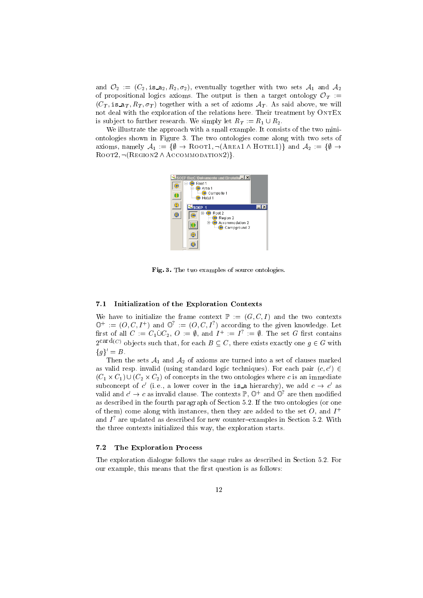and  $\mathcal{O}_2 := (C_2, \mathbf{is\_a}_2, R_2, \sigma_2)$ , eventually together with two sets  $\mathcal{A}_1$  and  $\mathcal{A}_2$ of propositional logics axioms. The output is then a target ontology  $\mathcal{O}_T :=$  $(C_T, i \sin \pi T, R_T, \sigma_T)$  together with a set of axioms  $A_T$ . As said above, we will not deal with the exploration of the relations here. Their treatment by ONTEX is subject to further research. We simply let  $R_T := R_1 \cup R_2$ .

We illustrate the approach with a small example. It consists of the two miniontologies shown in Figure 3. The two ontologies come along with two sets of axioms, namely  $A_1 := \{ \emptyset \to \text{Roor1}, \neg(\text{Area1} \land \text{Horel}) \}$  and  $A_2 := \{ \emptyset \to \text{Roor1}, \neg(\text{Area1} \land \text{Horel}) \}$  $Room2, \neg (REGION2 \land ACCOMMODATION2)$ .



Fig. 3. The two examples of source ontologies.

#### 7.1 Initialization of the Exploration Contexts

We have to initialize the frame context  $\mathbb{P} := (G, C, I)$  and the two contexts  $\cup := \{O, C, I\}$  and  $\cup := \{O, C, I\}$  according to the given knowledge. Let If its lot an  $C := C_1 \cup C_2$ ,  $C := \emptyset$ , and  $T := I_1 := \emptyset$ . The set G first contains  $2^{\operatorname{card}(C)}$  objects such that, for each  $B \subseteq C$ , there exists exactly one  $g \in G$  with  ${g}' = B.$ 

Then the sets  $A_1$  and  $A_2$  of axioms are turned into a set of clauses marked as valid resp. invalid (using standard logic techniques). For each pair  $(c, c') \in$ (C1 - 1) -  $\mu$  - 2) of concepts in the two ones where c is an immediate where c is an immediate  $\mu$ subconcept of c (i.e., a lower cover in the is a merarchy), we add  $c \rightarrow c$  as valid and  $c \rightarrow c$  as invalid clause. The contexts  $\mathbb{F}, \mathbb{U}^+$  and  $\mathbb{U}^-$  are then modified as described in the fourth paragraph of Section 5.2. If the two ontologies (or one of them) come along with instances, then they are added to the set  $O$ , and  $I^+$ and I are updated as described for new counter—examples in Section 5.2. With the three contexts initialized this way, the exploration starts.

### 7.2 The Exploration Process

The exploration dialogue follows the same rules as described in Section 5.2. For our example, this means that the first question is as follows: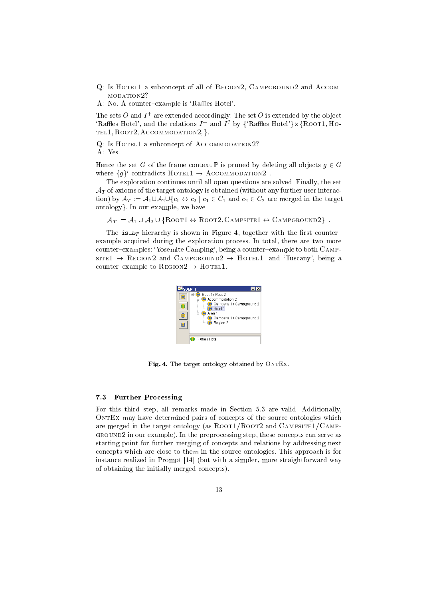Q: Is HOTEL1 a subconcept of all of REGION2, CAMPGROUND2 and ACCOM-MODATION2?

A: No. A counter-example is 'Raffles Hotel'.

The sets O and I<sup>+</sup> are extended accordingly: The set O is extended by the ob ject 'Raffles Hotel', and the relations  $I^+$  and  $I^c$  by  $\{$ 'Raffles Hotel' $\}\times\{$ ROOT1, HO-TEL1,  $RoomMODATION2$ ,  $\}$ .

Q: Is HOTEL1 a subconcept of ACCOMMODATION2? A: Yes.

Hence the set G of the frame context  $\mathbb P$  is pruned by deleting all objects  $g \in G$ where  ${g}'$  contradicts HOTEL1  $\rightarrow$  ACCOMMODATION2.

The exploration continues until all open questions are solved. Finally, the set  $\mathcal{A}_T$  of axioms of the target ontology is obtained (without any further user interaction) by  $A_T := A_1 \cup A_2 \cup \{c_1 \leftrightarrow c_2 \mid c_1 \in C_1 \text{ and } c_2 \in C_2 \text{ are merged in the target }\}$ ontology. In our example, we have

 $\mathcal{A}_T := \mathcal{A}_1 \cup \mathcal{A}_2 \cup \{\text{Roor1} \leftrightarrow \text{Roor2}, \text{Camesire1} \leftrightarrow \text{Cameracun2}\}\.$ 

The is  $a_T$  hierarchy is shown in Figure 4, together with the first counterexample acquired during the exploration process. In total, there are two more counter-examples: 'Yosemite Camping', being a counter-example to both CAMP $s$ ITE1  $\rightarrow$  REGION2 and CAMPGROUND2  $\rightarrow$  HOTEL1; and 'Tuscany', being a counter-example to  $\text{REGION2} \rightarrow \text{HOTEL1}.$ 



Fig. 4. The target ontology obtained by ONTEX.

#### 7.3 Further Processing

For this third step, all remarks made in Section 5.3 are valid. Additionally, ONTEX may have determined pairs of concepts of the source ontologies which are merged in the target ontology (as  $Room1/Room2$  and  $Campsitel/CAMP$ ground2 in our example). In the preprocessing step, these concepts can serve as starting point for further merging of concepts and relations by addressing next concepts which are close to them in the source ontologies. This approach is for instance realized in Prompt [14] (but with a simpler, more straightforward way of obtaining the initially merged concepts).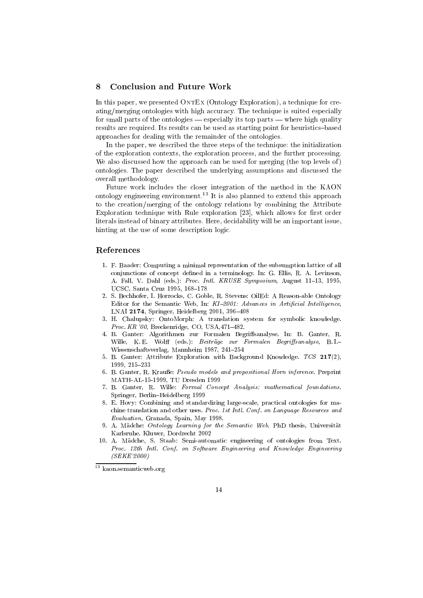## 8 Conclusion and Future Work

In this paper, we presented ONTEX (Ontology Exploration), a technique for creating/merging ontologies with high accuracy. The technique is suited especially for small parts of the ontologies - especially its top parts - where high quality results are required. Its results can be used as starting point for heuristics-based approaches for dealing with the remainder of the ontologies.

In the paper, we described the three steps of the technique: the initialization of the exploration contexts, the exploration process, and the further processing. We also discussed how the approach can be used for merging (the top levels of) ontologies. The paper described the underlying assumptions and discussed the overall methodology.

Future work includes the closer integration of the method in the KAON ontology engineering environment.13 It is also planned to extend this approach to the creation/merging of the ontology relations by combining the Attribute Exploration technique with Rule exploration  $[23]$ , which allows for first order literals instead of binary attributes. Here, decidability will be an important issue, hinting at the use of some description logic.

## References

- 1. F. Baader: Computing a minimal representation of the subsumption lattice of all conjunctions of concept dened in a terminology. In: G. Ellis, R. A. Levinson, A. Fall, V. Dahl (eds.): Proc. Intl. KRUSE Symposium, August 11-13, 1995, UCSC, Santa Cruz 1995, 168-178
- 2. S. Bechhofer, I. Horrocks, C. Goble, R. Stevens: OilEd: A Reason-able Ontology Editor for the Semantic Web, In: KI-2001: Advances in Artificial Intelligence, LNAI 2174, Springer, Heidelberg 2001, 396-408
- 3. H. Chalupsky: OntoMorph: A translation system for symbolic knowledge. Proc.  $KR$  '00, Breckenridge, CO, USA, 471-482.
- 4. B. Ganter: Algorithmen zur Formalen Begrisanalyse. In: B. Ganter, R. Wille, K. E. Wolff (eds.): Beiträge zur Formalen Begriffsanalyse, B. I.-Wissenschaftsverlag, Mannheim 1987, 241-254
- 5. B. Ganter: Attribute Exploration with Background Knowledge. TCS 217(2), 1999, 215-233
- 6. B. Ganter, R. Krauße: Pseudo models and propositional Horn inference. Preprint MATH-AL-15-1999, TU Dresden 1999
- 7. B. Ganter, R. Wille: Formal Concept Analysis: mathematical foundations. Springer, Berlin-Heidelberg 1999
- 8. E. Hovy: Combining and standardizing large-scale, practical ontologies for ma chine translation and other uses. Proc. 1st Intl. Conf. on Language Resources and Evaluation, Granada, Spain, May 1998.
- 9. A. Madche: Ontology Learning for the Semantic Web. PhD thesis, Universitat Karlsruhe. Kluwer, Dordrecht 2002
- 10. A. Madche, S. Staab: Semi-automatic engineering ofontologies from Text. Proc. 12th Intl. Conf. on Software Engineering and Know ledge Engineering (SEKE'2000)

<sup>13</sup> kaon.semanticweb.org